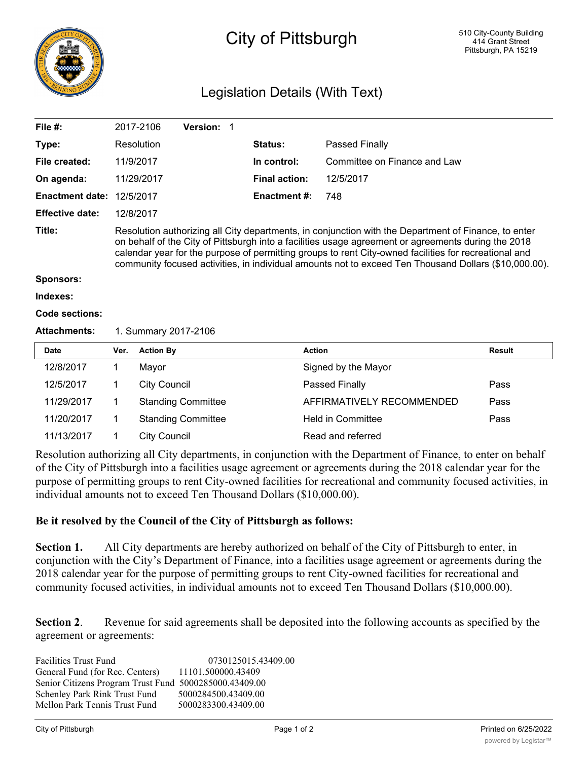

## City of Pittsburgh

## Legislation Details (With Text)

| File #:                |                                                                                                                                                                                                                                                                                                                                                                                                                               | 2017-2106           | Version: 1                |  |                      |                              |               |
|------------------------|-------------------------------------------------------------------------------------------------------------------------------------------------------------------------------------------------------------------------------------------------------------------------------------------------------------------------------------------------------------------------------------------------------------------------------|---------------------|---------------------------|--|----------------------|------------------------------|---------------|
| Type:                  |                                                                                                                                                                                                                                                                                                                                                                                                                               | Resolution          |                           |  | <b>Status:</b>       | Passed Finally               |               |
| File created:          |                                                                                                                                                                                                                                                                                                                                                                                                                               | 11/9/2017           |                           |  | In control:          | Committee on Finance and Law |               |
| On agenda:             |                                                                                                                                                                                                                                                                                                                                                                                                                               | 11/29/2017          |                           |  | <b>Final action:</b> | 12/5/2017                    |               |
| <b>Enactment date:</b> | 12/5/2017                                                                                                                                                                                                                                                                                                                                                                                                                     |                     |                           |  | Enactment #:         | 748                          |               |
| <b>Effective date:</b> | 12/8/2017                                                                                                                                                                                                                                                                                                                                                                                                                     |                     |                           |  |                      |                              |               |
| Title:                 | Resolution authorizing all City departments, in conjunction with the Department of Finance, to enter<br>on behalf of the City of Pittsburgh into a facilities usage agreement or agreements during the 2018<br>calendar year for the purpose of permitting groups to rent City-owned facilities for recreational and<br>community focused activities, in individual amounts not to exceed Ten Thousand Dollars (\$10,000.00). |                     |                           |  |                      |                              |               |
| <b>Sponsors:</b>       |                                                                                                                                                                                                                                                                                                                                                                                                                               |                     |                           |  |                      |                              |               |
| Indexes:               |                                                                                                                                                                                                                                                                                                                                                                                                                               |                     |                           |  |                      |                              |               |
| <b>Code sections:</b>  |                                                                                                                                                                                                                                                                                                                                                                                                                               |                     |                           |  |                      |                              |               |
| <b>Attachments:</b>    | 1. Summary 2017-2106                                                                                                                                                                                                                                                                                                                                                                                                          |                     |                           |  |                      |                              |               |
| <b>Date</b>            | Ver.                                                                                                                                                                                                                                                                                                                                                                                                                          | <b>Action By</b>    |                           |  |                      | <b>Action</b>                | <b>Result</b> |
| 12/8/2017              | 1                                                                                                                                                                                                                                                                                                                                                                                                                             | Mayor               |                           |  |                      | Signed by the Mayor          |               |
| 12/5/2017              | 1                                                                                                                                                                                                                                                                                                                                                                                                                             | <b>City Council</b> |                           |  |                      | Passed Finally               | Pass          |
| 11/29/2017             | 1                                                                                                                                                                                                                                                                                                                                                                                                                             |                     | <b>Standing Committee</b> |  |                      | AFFIRMATIVELY RECOMMENDED    | Pass          |
| 11/20/2017             | 1                                                                                                                                                                                                                                                                                                                                                                                                                             |                     | <b>Standing Committee</b> |  |                      | <b>Held in Committee</b>     | Pass          |
| 11/13/2017             | 1                                                                                                                                                                                                                                                                                                                                                                                                                             | <b>City Council</b> |                           |  |                      | Read and referred            |               |

Resolution authorizing all City departments, in conjunction with the Department of Finance, to enter on behalf of the City of Pittsburgh into a facilities usage agreement or agreements during the 2018 calendar year for the purpose of permitting groups to rent City-owned facilities for recreational and community focused activities, in individual amounts not to exceed Ten Thousand Dollars (\$10,000.00).

## **Be it resolved by the Council of the City of Pittsburgh as follows:**

**Section 1.** All City departments are hereby authorized on behalf of the City of Pittsburgh to enter, in conjunction with the City's Department of Finance, into a facilities usage agreement or agreements during the 2018 calendar year for the purpose of permitting groups to rent City-owned facilities for recreational and community focused activities, in individual amounts not to exceed Ten Thousand Dollars (\$10,000.00).

**Section 2.** Revenue for said agreements shall be deposited into the following accounts as specified by the agreement or agreements:

| <b>Facilities Trust Fund</b>                           | 0730125015.43409.00 |
|--------------------------------------------------------|---------------------|
| General Fund (for Rec. Centers)                        | 11101.500000.43409  |
| Senior Citizens Program Trust Fund 5000285000.43409.00 |                     |
| Schenley Park Rink Trust Fund                          | 5000284500.43409.00 |
| Mellon Park Tennis Trust Fund                          | 5000283300.43409.00 |